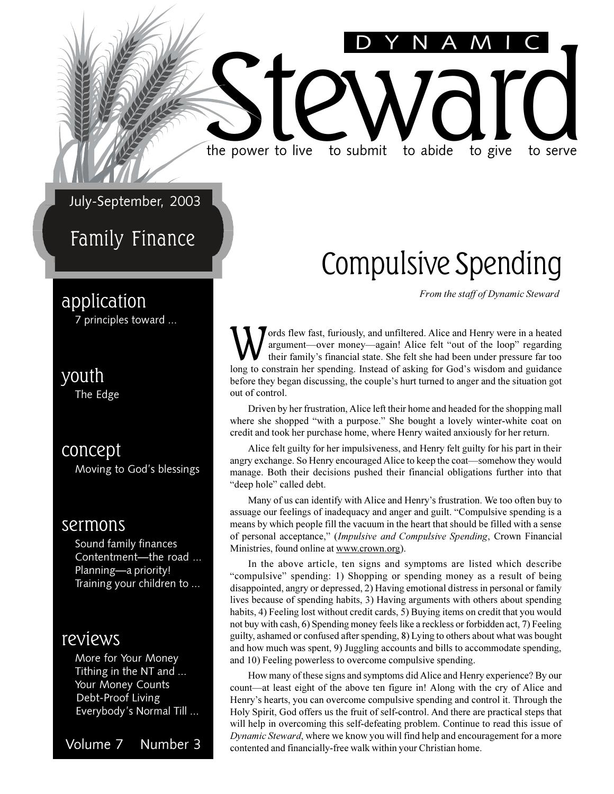### July-September, 2003

### Family Finance

### application

7 principles toward ...

### youth

The Edge

### concept

Moving to God's blessings

### sermons

Sound family finances Contentment-the road ... Planning—a priority! Training your children to ...

### reviews

More for Your Money Tithing in the NT and ... Your Money Counts Debt-Proof Living Everybody's Normal Till ...

Volume 7 Number 3

### Compulsive Spending

DYNAMIC

*From the staff of Dynamic Steward*

W ords flew fast, furiously, and unfiltered. Alice and Henry were in a heated argument—over money—again! Alice felt "out of the loop" regarding their family's financial state. She felt she had been under pressure far too l ords flew fast, furiously, and unfiltered. Alice and Henry were in a heated argument—over money—again! Alice felt "out of the loop" regarding their family's financial state. She felt she had been under pressure far too before they began discussing, the couple's hurt turned to anger and the situation got out of control.

the power to live to submit to abide to give to serve

the power to live to submit to abide to give to serve

Driven by her frustration, Alice left their home and headed for the shopping mall where she shopped "with a purpose." She bought a lovely winter-white coat on credit and took her purchase home, where Henry waited anxiously for her return.

Alice felt guilty for her impulsiveness, and Henry felt guilty for his part in their angry exchange. So Henry encouraged Alice to keep the coat—somehow they would manage. Both their decisions pushed their financial obligations further into that "deep hole" called debt.

Many of us can identify with Alice and Henry's frustration. We too often buy to assuage our feelings of inadequacy and anger and guilt. "Compulsive spending is a means by which people fill the vacuum in the heart that should be filled with a sense of personal acceptance, (*Impulsive and Compulsive Spending*, Crown Financial Ministries, found online at www.crown.org).

In the above article, ten signs and symptoms are listed which describe "compulsive" spending: 1) Shopping or spending money as a result of being disappointed, angry or depressed, 2) Having emotional distress in personal or family lives because of spending habits, 3) Having arguments with others about spending habits, 4) Feeling lost without credit cards, 5) Buying items on credit that you would not buy with cash, 6) Spending money feels like a reckless or forbidden act, 7) Feeling guilty, ashamed or confused after spending, 8) Lying to others about what was bought and how much was spent, 9) Juggling accounts and bills to accommodate spending, and 10) Feeling powerless to overcome compulsive spending.

How many of these signs and symptoms did Alice and Henry experience? By our count—at least eight of the above ten figure in! Along with the cry of Alice and Henry's hearts, you can overcome compulsive spending and control it. Through the Holy Spirit, God offers us the fruit of self-control. And there are practical steps that will help in overcoming this self-defeating problem. Continue to read this issue of *Dynamic Steward*, where we know you will find help and encouragement for a more contented and financially-free walk within your Christian home.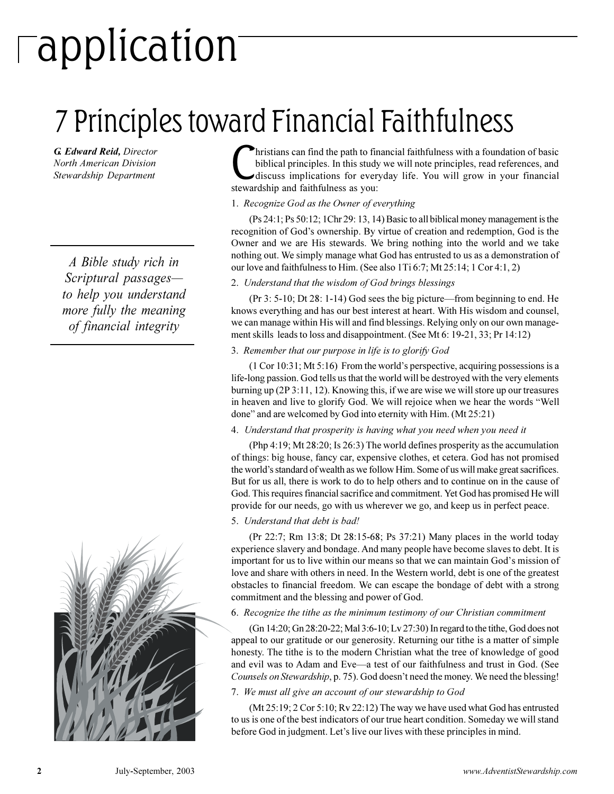# application

## 7 Principles toward Financial Faithfulness

*G. Edward Reid, Director North American Division Stewardship Department*

*A Bible study rich in Scriptural passages to help you understand more fully the meaning of financial integrity*



**C**hristians can find the path to fir<br>biblical principles. In this study<br>discuss implications for ever<br>stewardship and faithfulness as you: hristians can find the path to financial faithfulness with a foundation of basic biblical principles. In this study we will note principles, read references, and discuss implications for everyday life. You will grow in your financial

#### 1. *Recognize God as the Owner of everything*

(Ps 24:1; Ps 50:12; 1Chr 29: 13, 14) Basic to all biblical money management is the recognition of God's ownership. By virtue of creation and redemption, God is the Owner and we are His stewards. We bring nothing into the world and we take nothing out. We simply manage what God has entrusted to us as a demonstration of our love and faithfulness to Him. (See also 1Ti 6:7; Mt 25:14; 1 Cor 4:1, 2)

#### 2. *Understand that the wisdom of God brings blessings*

(Pr  $3: 5\n-10$ ; Dt  $28: 1\n-14$ ) God sees the big picture—from beginning to end. He knows everything and has our best interest at heart. With His wisdom and counsel, we can manage within His will and find blessings. Relying only on our own management skills leads to loss and disappointment. (See Mt 6: 19-21, 33; Pr 14:12)

#### 3. *Remember that our purpose in life is to glorify God*

 $(1$  Cor 10:31; Mt 5:16) From the world's perspective, acquiring possessions is a life-long passion. God tells us that the world will be destroyed with the very elements burning up (2P 3:11, 12). Knowing this, if we are wise we will store up our treasures in heaven and live to glorify God. We will rejoice when we hear the words "Well done" and are welcomed by God into eternity with Him. (Mt 25:21)

#### 4. *Understand that prosperity is having what you need when you need it*

(Php 4:19; Mt 28:20; Is 26:3) The world defines prosperity as the accumulation of things: big house, fancy car, expensive clothes, et cetera. God has not promised the world's standard of wealth as we follow Him. Some of us will make great sacrifices. But for us all, there is work to do to help others and to continue on in the cause of God. This requires financial sacrifice and commitment. Yet God has promised He will provide for our needs, go with us wherever we go, and keep us in perfect peace.

#### 5. *Understand that debt is bad!*

(Pr 22:7; Rm 13:8; Dt 28:15-68; Ps 37:21) Many places in the world today experience slavery and bondage. And many people have become slaves to debt. It is important for us to live within our means so that we can maintain God's mission of love and share with others in need. In the Western world, debt is one of the greatest obstacles to financial freedom. We can escape the bondage of debt with a strong commitment and the blessing and power of God.

#### 6. *Recognize the tithe as the minimum testimony of our Christian commitment*

(Gn 14:20; Gn 28:20-22; Mal 3:6-10; Lv 27:30) In regard to the tithe, God does not appeal to our gratitude or our generosity. Returning our tithe is a matter of simple honesty. The tithe is to the modern Christian what the tree of knowledge of good and evil was to Adam and Eve—a test of our faithfulness and trust in God. (See *Counsels on Stewardship*, p. 75). God doesn't need the money. We need the blessing!

#### 7. *We must all give an account of our stewardship to God*

(Mt 25:19; 2 Cor 5:10; Rv 22:12) The way we have used what God has entrusted to us is one of the best indicators of our true heart condition. Someday we will stand before God in judgment. Let's live our lives with these principles in mind.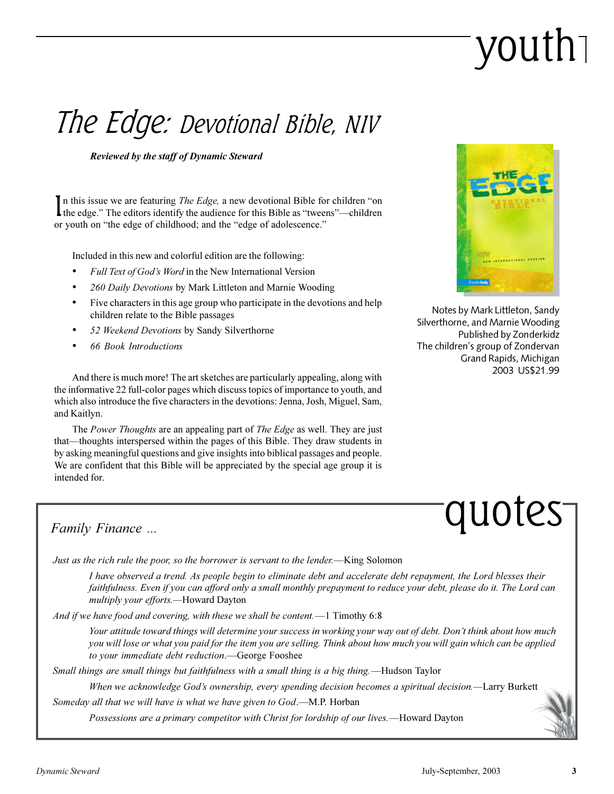# youth

### The Edge: Devotional Bible, NIV

*Reviewed by the staff of Dynamic Steward*

In this issue we are featuring *The Edge*, a new devotional Bible for children "on the edge." The editors identify the audience for this Bible as "tweens"—children n this issue we are featuring *The Edge*, a new devotional Bible for children "on or youth on "the edge of childhood; and the "edge of adolescence."

Included in this new and colorful edition are the following:

- *Full Text of Gods Word* in the New International Version
- *260 Daily Devotions* by Mark Littleton and Marnie Wooding
- Five characters in this age group who participate in the devotions and help children relate to the Bible passages
- *52 Weekend Devotions* by Sandy Silverthorne
- *66 Book Introductions*



Notes by Mark Littleton, Sandy Silverthorne, and Marnie Wooding Published by Zonderkidz The children's group of Zondervan Grand Rapids, Michigan 2003 US\$21.99

And there is much more! The art sketches are particularly appealing, along with the informative 22 full-color pages which discuss topics of importance to youth, and which also introduce the five characters in the devotions: Jenna, Josh, Miguel, Sam, and Kaitlyn.

The *Power Thoughts* are an appealing part of *The Edge* as well. They are just that—thoughts interspersed within the pages of this Bible. They draw students in by asking meaningful questions and give insights into biblical passages and people. We are confident that this Bible will be appreciated by the special age group it is intended for.



### *Family Finance ...*

*Just as the rich rule the poor, so the borrower is servant to the lender.*—King Solomon

*I have observed a trend. As people begin to eliminate debt and accelerate debt repayment, the Lord blesses their faithfulness. Even if you can afford only a small monthly prepayment to reduce your debt, please do it. The Lord can multiply your efforts.*Howard Dayton

*And if we have food and covering, with these we shall be content.*1 Timothy 6:8

*Your attitude toward things will determine your success in working your way out of debt. Dont think about how much you will lose or what you paid for the item you are selling. Think about how much you will gain which can be applied* to your immediate debt reduction.**-George Fooshee** 

*Small things are small things but faithfulness with a small thing is a big thing.*Hudson Taylor

*When we acknowledge Gods ownership, every spending decision becomes a spiritual decision.*Larry Burkett

*Someday all that we will have is what we have given to God.—M.P. Horban* 

*Possessions are a primary competitor with Christ for lordship of our lives.*Howard Dayton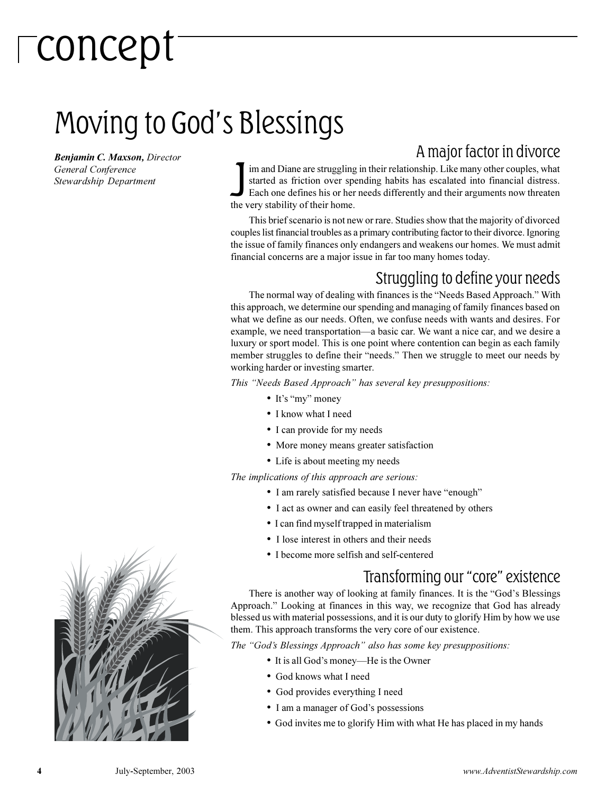# concept

### Moving to God's Blessings

*Benjamin C. Maxson, Director General Conference Stewardship Department*

### A major factor in divorce

Im and Diane are struggling<br>started as friction over sp<br>Each one defines his or her<br>the very stability of their home. im and Diane are struggling in their relationship. Like many other couples, what started as friction over spending habits has escalated into financial distress. Each one defines his or her needs differently and their arguments now threaten

This brief scenario is not new or rare. Studies show that the majority of divorced couples list financial troubles as a primary contributing factor to their divorce. Ignoring the issue of family finances only endangers and weakens our homes. We must admit financial concerns are a major issue in far too many homes today.

### Struggling to define your needs

The normal way of dealing with finances is the "Needs Based Approach." With this approach, we determine our spending and managing of family finances based on what we define as our needs. Often, we confuse needs with wants and desires. For example, we need transportation—a basic car. We want a nice car, and we desire a luxury or sport model. This is one point where contention can begin as each family member struggles to define their "needs." Then we struggle to meet our needs by working harder or investing smarter.

*This "Needs Based Approach" has several key presuppositions:* 

- It's "my" money
- I know what I need
- I can provide for my needs
- More money means greater satisfaction
- Life is about meeting my needs

*The implications of this approach are serious:*

- I am rarely satisfied because I never have "enough"
- I act as owner and can easily feel threatened by others
- I can find myself trapped in materialism
- I lose interest in others and their needs
- I become more selfish and self-centered

### Transforming our "core" existence

There is another way of looking at family finances. It is the "God's Blessings Approach." Looking at finances in this way, we recognize that God has already blessed us with material possessions, and it is our duty to glorify Him by how we use them. This approach transforms the very core of our existence.

*The "God's Blessings Approach" also has some key presuppositions:* 

- It is all God's money—He is the Owner
- God knows what I need
- God provides everything I need
- I am a manager of God's possessions
- God invites me to glorify Him with what He has placed in my hands

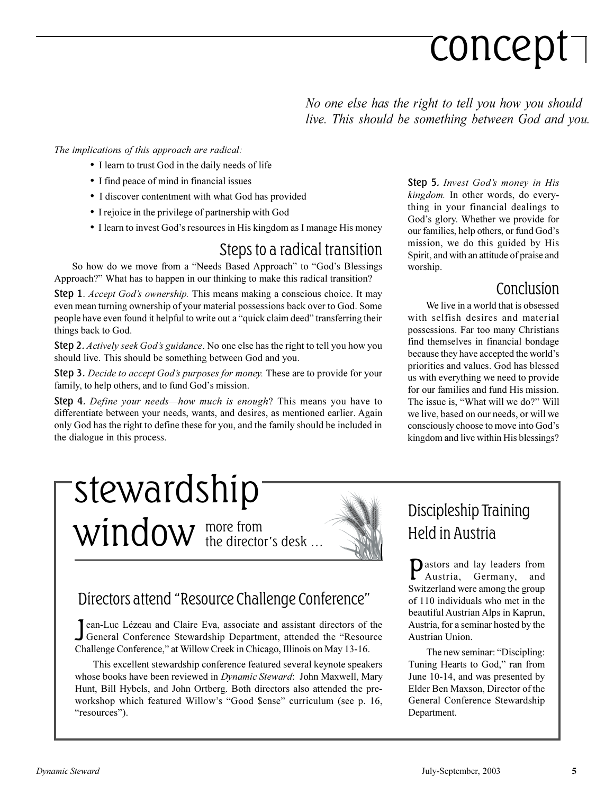# concept

*No one else has the right to tell you how you should live. This should be something between God and you.*

#### *The implications of this approach are radical:*

- I learn to trust God in the daily needs of life
- I find peace of mind in financial issues
- I discover contentment with what God has provided
- I rejoice in the privilege of partnership with God
- I learn to invest God's resources in His kingdom as I manage His money

### Steps to a radical transition

So how do we move from a "Needs Based Approach" to "God's Blessings Approach?" What has to happen in our thinking to make this radical transition?

Step 1. *Accept God's ownership*. This means making a conscious choice. It may even mean turning ownership of your material possessions back over to God. Some people have even found it helpful to write out a "quick claim deed" transferring their things back to God.

Step 2. *Actively seek God's guidance*. No one else has the right to tell you how you should live. This should be something between God and you.

Step 3. *Decide to accept God's purposes for money*. These are to provide for your family, to help others, and to fund God's mission.

**Step 4.** Define your needs—how much is enough? This means you have to differentiate between your needs, wants, and desires, as mentioned earlier. Again only God has the right to define these for you, and the family should be included in the dialogue in this process.

Step 5. *Invest Gods money in His kingdom.* In other words, do everything in your financial dealings to God's glory. Whether we provide for our families, help others, or fund God's mission, we do this guided by His Spirit, and with an attitude of praise and worship.

### Conclusion

We live in a world that is obsessed with selfish desires and material possessions. Far too many Christians find themselves in financial bondage because they have accepted the world's priorities and values. God has blessed us with everything we need to provide for our families and fund His mission. The issue is, "What will we do?" Will we live, based on our needs, or will we consciously choose to move into God's kingdom and live within His blessings?

### more from  $window$  the director's desk ... stewardship



### Directors attend "Resource Challenge Conference"

Jean-Luc Lézeau and Claire Eva, associate and assistant directors of the General Conference Stewardship Department, attended the "Resource General Conference Stewardship Department, attended the "Resource Challenge Conference," at Willow Creek in Chicago, Illinois on May 13-16.

This excellent stewardship conference featured several keynote speakers whose books have been reviewed in *Dynamic Steward*: John Maxwell, Mary Hunt, Bill Hybels, and John Ortberg. Both directors also attended the preworkshop which featured Willow's "Good \$ense" curriculum (see p. 16, "resources").

### Discipleship Training Held in Austria

P astors and lay leaders from Austria, Germany, and Switzerland were among the group of 110 individuals who met in the beautiful Austrian Alps in Kaprun, Austria, for a seminar hosted by the Austrian Union.

The new seminar: "Discipling: Tuning Hearts to God," ran from June 10-14, and was presented by Elder Ben Maxson, Director of the General Conference Stewardship Department.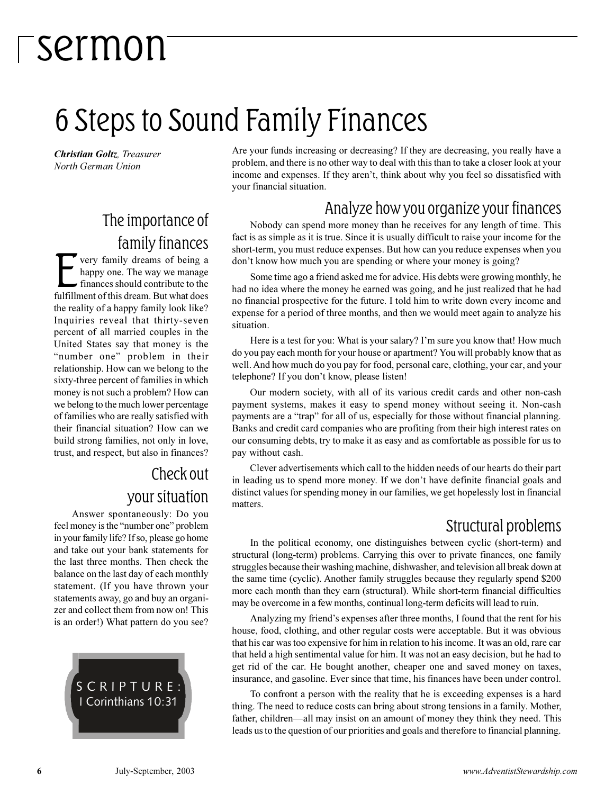## 6 Steps to Sound Family Finances

*Christian Goltz, Treasurer North German Union*

### The importance of family finances

**EXECUTE 18 SET CALCE THE VALUATE CONSERVANCE CONSERVANCE SET CONSERVANCE TO A SUBSEDIARY OF THE SUBSTANCE OF THE SUBSTANCE OF THE SUBSTANCE OF THE SUBSTANCE OF THE SUBSTANCE OF THE SUBSTANCE OF THE SUBSTANCE OF THE SUBSTA** very family dreams of being a happy one. The way we manage finances should contribute to the the reality of a happy family look like? Inquiries reveal that thirty-seven percent of all married couples in the United States say that money is the "number one" problem in their relationship. How can we belong to the sixty-three percent of families in which money is not such a problem? How can we belong to the much lower percentage of families who are really satisfied with their financial situation? How can we build strong families, not only in love, trust, and respect, but also in finances?

### Check out your situation

Answer spontaneously: Do you feel money is the "number one" problem in your family life? If so, please go home and take out your bank statements for the last three months. Then check the balance on the last day of each monthly statement. (If you have thrown your statements away, go and buy an organizer and collect them from now on! This is an order!) What pattern do you see?



Are your funds increasing or decreasing? If they are decreasing, you really have a problem, and there is no other way to deal with this than to take a closer look at your income and expenses. If they aren't, think about why you feel so dissatisfied with your financial situation.

### Analyze how you organize your finances

Nobody can spend more money than he receives for any length of time. This fact is as simple as it is true. Since it is usually difficult to raise your income for the short-term, you must reduce expenses. But how can you reduce expenses when you don't know how much you are spending or where your money is going?

Some time ago a friend asked me for advice. His debts were growing monthly, he had no idea where the money he earned was going, and he just realized that he had no financial prospective for the future. I told him to write down every income and expense for a period of three months, and then we would meet again to analyze his situation.

Here is a test for you: What is your salary? I'm sure you know that! How much do you pay each month for your house or apartment? You will probably know that as well. And how much do you pay for food, personal care, clothing, your car, and your telephone? If you don't know, please listen!

Our modern society, with all of its various credit cards and other non-cash payment systems, makes it easy to spend money without seeing it. Non-cash payments are a "trap" for all of us, especially for those without financial planning. Banks and credit card companies who are profiting from their high interest rates on our consuming debts, try to make it as easy and as comfortable as possible for us to pay without cash.

Clever advertisements which call to the hidden needs of our hearts do their part in leading us to spend more money. If we don't have definite financial goals and distinct values for spending money in our families, we get hopelessly lost in financial matters.

### Structural problems

In the political economy, one distinguishes between cyclic (short-term) and structural (long-term) problems. Carrying this over to private finances, one family struggles because their washing machine, dishwasher, and television all break down at the same time (cyclic). Another family struggles because they regularly spend \$200 more each month than they earn (structural). While short-term financial difficulties may be overcome in a few months, continual long-term deficits will lead to ruin.

Analyzing my friend's expenses after three months, I found that the rent for his house, food, clothing, and other regular costs were acceptable. But it was obvious that his car was too expensive for him in relation to his income. It was an old, rare car that held a high sentimental value for him. It was not an easy decision, but he had to get rid of the car. He bought another, cheaper one and saved money on taxes, insurance, and gasoline. Ever since that time, his finances have been under control.

To confront a person with the reality that he is exceeding expenses is a hard thing. The need to reduce costs can bring about strong tensions in a family. Mother, father, children—all may insist on an amount of money they think they need. This leads us to the question of our priorities and goals and therefore to financial planning.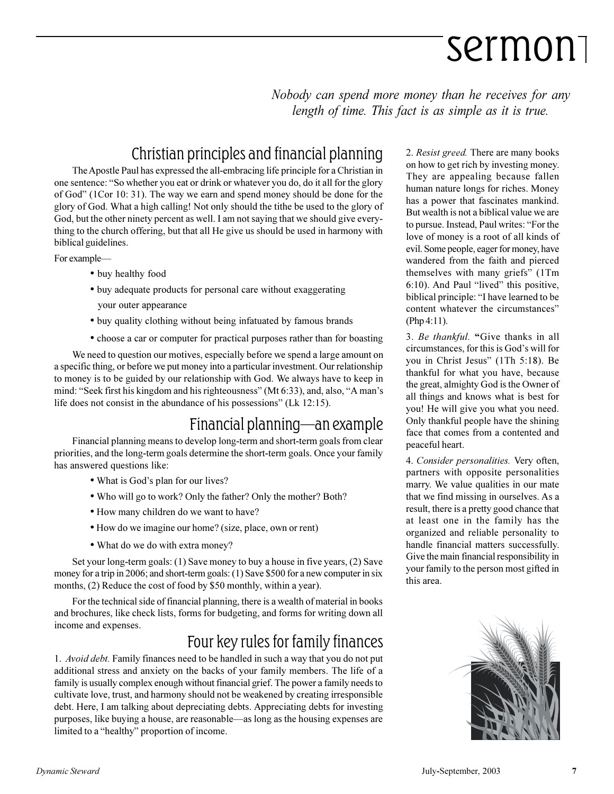*Nobody can spend more money than he receives for any length of time. This fact is as simple as it is true.*

### Christian principles and financial planning

The Apostle Paul has expressed the all-embracing life principle for a Christian in one sentence: "So whether you eat or drink or whatever you do, do it all for the glory of God" (1Cor 10: 31). The way we earn and spend money should be done for the glory of God. What a high calling! Not only should the tithe be used to the glory of God, but the other ninety percent as well. I am not saying that we should give everything to the church offering, but that all He give us should be used in harmony with biblical guidelines.

For example

- buy healthy food
- buy adequate products for personal care without exaggerating your outer appearance
- buy quality clothing without being infatuated by famous brands
- choose a car or computer for practical purposes rather than for boasting

We need to question our motives, especially before we spend a large amount on a specific thing, or before we put money into a particular investment. Our relationship to money is to be guided by our relationship with God. We always have to keep in mind: "Seek first his kingdom and his righteousness" (Mt 6:33), and, also, "A man's life does not consist in the abundance of his possessions" (Lk  $12:15$ ).

### $F$ inancial planning—an example

Financial planning means to develop long-term and short-term goals from clear priorities, and the long-term goals determine the short-term goals. Once your family has answered questions like:

- What is God's plan for our lives?
- Who will go to work? Only the father? Only the mother? Both?
- How many children do we want to have?
- How do we imagine our home? (size, place, own or rent)
- What do we do with extra money?

Set your long-term goals: (1) Save money to buy a house in five years, (2) Save money for a trip in 2006; and short-term goals: (1) Save \$500 for a new computer in six months, (2) Reduce the cost of food by \$50 monthly, within a year).

For the technical side of financial planning, there is a wealth of material in books and brochures, like check lists, forms for budgeting, and forms for writing down all income and expenses.

### Four key rules for family finances

1. *Avoid debt.* Family finances need to be handled in such a way that you do not put additional stress and anxiety on the backs of your family members. The life of a family is usually complex enough without financial grief. The power a family needs to cultivate love, trust, and harmony should not be weakened by creating irresponsible debt. Here, I am talking about depreciating debts. Appreciating debts for investing purposes, like buying a house, are reasonable—as long as the housing expenses are limited to a "healthy" proportion of income.

2. *Resist greed.* There are many books on how to get rich by investing money. They are appealing because fallen human nature longs for riches. Money has a power that fascinates mankind. But wealth is not a biblical value we are to pursue. Instead, Paul writes: "For the love of money is a root of all kinds of evil. Some people, eager for money, have wandered from the faith and pierced themselves with many griefs" (1Tm 6:10). And Paul "lived" this positive, biblical principle: "I have learned to be content whatever the circumstances (Php 4:11).

3. *Be thankful.* "Give thanks in all circumstances, for this is God's will for you in Christ Jesus" (1Th 5:18). Be thankful for what you have, because the great, almighty God is the Owner of all things and knows what is best for you! He will give you what you need. Only thankful people have the shining face that comes from a contented and peaceful heart.

4. *Consider personalities.* Very often, partners with opposite personalities marry. We value qualities in our mate that we find missing in ourselves. As a result, there is a pretty good chance that at least one in the family has the organized and reliable personality to handle financial matters successfully. Give the main financial responsibility in your family to the person most gifted in this area.

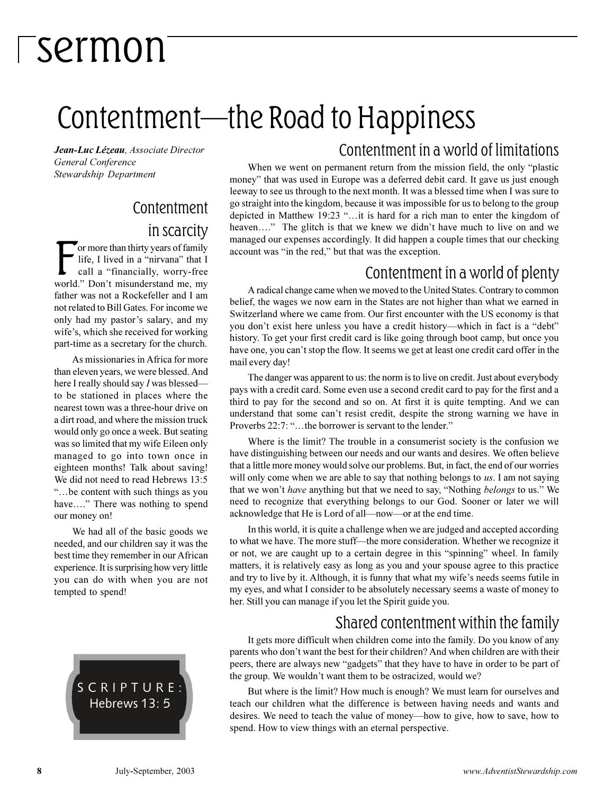### Contentment—the Road to Happiness

*Jean-Luc Lézeau, Associate Director General Conference Stewardship Department*

### Contentment in scarcity

For more than thirty years of family<br>life, I lived in a "nirvana" that I<br>call a "financially, worry-free<br>world." Don't misunderstand me, my or more than thirty years of family life, I lived in a "nirvana" that I call a "financially, worry-free father was not a Rockefeller and I am not related to Bill Gates. For income we only had my pastor's salary, and my wife's, which she received for working part-time as a secretary for the church.

As missionaries in Africa for more than eleven years, we were blessed. And here I really should say *I* was blessed to be stationed in places where the nearest town was a three-hour drive on a dirt road, and where the mission truck would only go once a week. But seating was so limited that my wife Eileen only managed to go into town once in eighteen months! Talk about saving! We did not need to read Hebrews 13:5 be content with such things as you have...." There was nothing to spend our money on!

We had all of the basic goods we needed, and our children say it was the best time they remember in our African experience. It is surprising how very little you can do with when you are not tempted to spend!



### Contentment in a world of limitations

When we went on permanent return from the mission field, the only "plastic money" that was used in Europe was a deferred debit card. It gave us just enough leeway to see us through to the next month. It was a blessed time when I was sure to go straight into the kingdom, because it was impossible for us to belong to the group depicted in Matthew 19:23 "...it is hard for a rich man to enter the kingdom of heaven...." The glitch is that we knew we didn't have much to live on and we managed our expenses accordingly. It did happen a couple times that our checking account was "in the red," but that was the exception.

### Contentment in a world of plenty

A radical change came when we moved to the United States. Contrary to common belief, the wages we now earn in the States are not higher than what we earned in Switzerland where we came from. Our first encounter with the US economy is that you don't exist here unless you have a credit history—which in fact is a "debt" history. To get your first credit card is like going through boot camp, but once you have one, you can't stop the flow. It seems we get at least one credit card offer in the mail every day!

The danger was apparent to us: the norm is to live on credit. Just about everybody pays with a credit card. Some even use a second credit card to pay for the first and a third to pay for the second and so on. At first it is quite tempting. And we can understand that some can't resist credit, despite the strong warning we have in Proverbs 22:7: "...the borrower is servant to the lender."

Where is the limit? The trouble in a consumerist society is the confusion we have distinguishing between our needs and our wants and desires. We often believe that a little more money would solve our problems. But, in fact, the end of our worries will only come when we are able to say that nothing belongs to *us*. I am not saying that we won't *have* anything but that we need to say, "Nothing *belongs* to us." We need to recognize that everything belongs to our God. Sooner or later we will acknowledge that He is Lord of all—now—or at the end time.

In this world, it is quite a challenge when we are judged and accepted according to what we have. The more stuff-the more consideration. Whether we recognize it or not, we are caught up to a certain degree in this "spinning" wheel. In family matters, it is relatively easy as long as you and your spouse agree to this practice and try to live by it. Although, it is funny that what my wife's needs seems futile in my eyes, and what I consider to be absolutely necessary seems a waste of money to her. Still you can manage if you let the Spirit guide you.

### Shared contentment within the family

It gets more difficult when children come into the family. Do you know of any parents who don't want the best for their children? And when children are with their peers, there are always new "gadgets" that they have to have in order to be part of the group. We wouldn't want them to be ostracized, would we?

But where is the limit? How much is enough? We must learn for ourselves and teach our children what the difference is between having needs and wants and desires. We need to teach the value of money—how to give, how to save, how to spend. How to view things with an eternal perspective.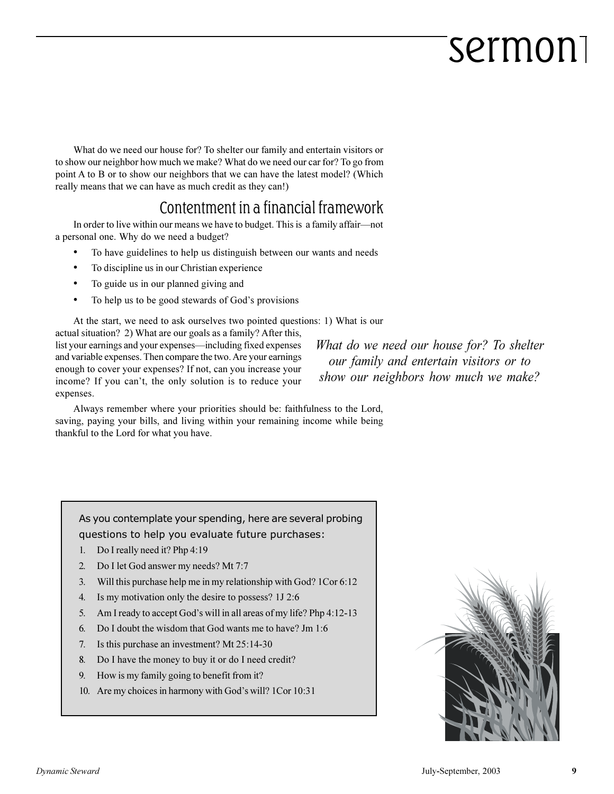What do we need our house for? To shelter our family and entertain visitors or to show our neighbor how much we make? What do we need our car for? To go from point A to B or to show our neighbors that we can have the latest model? (Which really means that we can have as much credit as they can!)

### Contentment in a financial framework

In order to live within our means we have to budget. This is a family affair-not a personal one. Why do we need a budget?

- To have guidelines to help us distinguish between our wants and needs
- To discipline us in our Christian experience
- To guide us in our planned giving and
- To help us to be good stewards of God's provisions

At the start, we need to ask ourselves two pointed questions: 1) What is our actual situation? 2) What are our goals as a family? After this, list your earnings and your expenses—including fixed expenses and variable expenses. Then compare the two. Are your earnings enough to cover your expenses? If not, can you increase your income? If you can't, the only solution is to reduce your expenses.

*What do we need our house for? To shelter our family and entertain visitors or to show our neighbors how much we make?*

Always remember where your priorities should be: faithfulness to the Lord, saving, paying your bills, and living within your remaining income while being thankful to the Lord for what you have.

As you contemplate your spending, here are several probing questions to help you evaluate future purchases:

- 1. Do I really need it? Php 4:19
- 2. Do I let God answer my needs? Mt 7:7
- 3. Will this purchase help me in my relationship with God? 1Cor 6:12
- 4. Is my motivation only the desire to possess? 1J 2:6
- 5. Am I ready to accept God's will in all areas of my life? Php  $4:12-13$
- 6. Do I doubt the wisdom that God wants me to have? Jm 1:6
- 7. Is this purchase an investment? Mt 25:14-30
- 8. Do I have the money to buy it or do I need credit?
- 9. How is my family going to benefit from it?
- 10. Are my choices in harmony with God's will? 1Cor 10:31

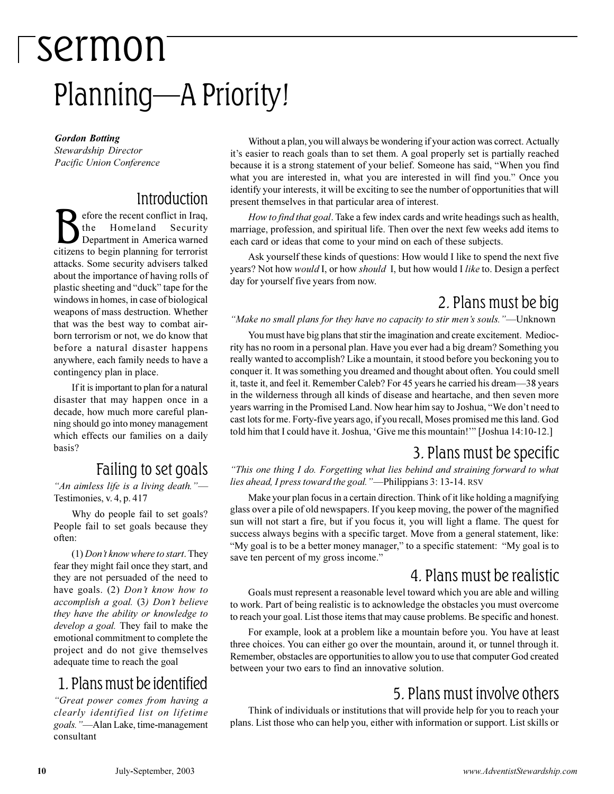## sermon Planning-A Priority!

*Gordon Botting Stewardship Director Pacific Union Conference*

### **Introduction**

 $\sum_{\text{the number of original data}}$  the the recent conflict in Iraq,<br>Department in America warned<br>citizens to begin planning for terrorist efore the recent conflict in Iraq, the Homeland Security Department in America warned attacks. Some security advisers talked about the importance of having rolls of plastic sheeting and "duck" tape for the windows in homes, in case of biological weapons of mass destruction. Whether that was the best way to combat airborn terrorism or not, we do know that before a natural disaster happens anywhere, each family needs to have a contingency plan in place.

If it is important to plan for a natural disaster that may happen once in a decade, how much more careful planning should go into money management which effects our families on a daily basis?

### Failing to set goals

*An aimless life is a living death.* Testimonies, v. 4, p. 417

Why do people fail to set goals? People fail to set goals because they often:

(1) *Dont know where to start*. They fear they might fail once they start, and they are not persuaded of the need to have goals. (2) *Dont know how to accomplish a goal.* (3*) Dont believe they have the ability or knowledge to develop a goal.* They fail to make the emotional commitment to complete the project and do not give themselves adequate time to reach the goal

### 1. Plans must be identified

*Great power comes from having a clearly identified list on lifetime* goals."—Alan Lake, time-management consultant

Without a plan, you will always be wondering if your action was correct. Actually it's easier to reach goals than to set them. A goal properly set is partially reached because it is a strong statement of your belief. Someone has said, When you find what you are interested in, what you are interested in will find you." Once you identify your interests, it will be exciting to see the number of opportunities that will present themselves in that particular area of interest.

*How to find that goal*. Take a few index cards and write headings such as health, marriage, profession, and spiritual life. Then over the next few weeks add items to each card or ideas that come to your mind on each of these subjects.

Ask yourself these kinds of questions: How would I like to spend the next five years? Not how *would* I, or how *should* I, but how would I *like* to. Design a perfect day for yourself five years from now.

### 2. Plans must be big

#### "Make no small plans for they have no capacity to stir men's souls."—Unknown

You must have big plans that stir the imagination and create excitement. Mediocrity has no room in a personal plan. Have you ever had a big dream? Something you really wanted to accomplish? Like a mountain, it stood before you beckoning you to conquer it. It was something you dreamed and thought about often. You could smell it, taste it, and feel it. Remember Caleb? For 45 years he carried his dream38 years in the wilderness through all kinds of disease and heartache, and then seven more years warring in the Promised Land. Now hear him say to Joshua, "We don't need to cast lots for me. Forty-five years ago, if you recall, Moses promised me this land. God told him that I could have it. Joshua, 'Give me this mountain!'" [Joshua 14:10-12.]

### 3. Plans must be specific

*This one thing I do. Forgetting what lies behind and straining forward to what lies ahead, I press toward the goal.* "-Philippians 3: 13-14. RSV

Make your plan focus in a certain direction. Think of it like holding a magnifying glass over a pile of old newspapers. If you keep moving, the power of the magnified sun will not start a fire, but if you focus it, you will light a flame. The quest for success always begins with a specific target. Move from a general statement, like: "My goal is to be a better money manager," to a specific statement: "My goal is to save ten percent of my gross income."

### 4. Plans must be realistic

Goals must represent a reasonable level toward which you are able and willing to work. Part of being realistic is to acknowledge the obstacles you must overcome to reach your goal. List those items that may cause problems. Be specific and honest.

For example, look at a problem like a mountain before you. You have at least three choices. You can either go over the mountain, around it, or tunnel through it. Remember, obstacles are opportunities to allow you to use that computer God created between your two ears to find an innovative solution.

### 5. Plans must involve others

Think of individuals or institutions that will provide help for you to reach your plans. List those who can help you, either with information or support. List skills or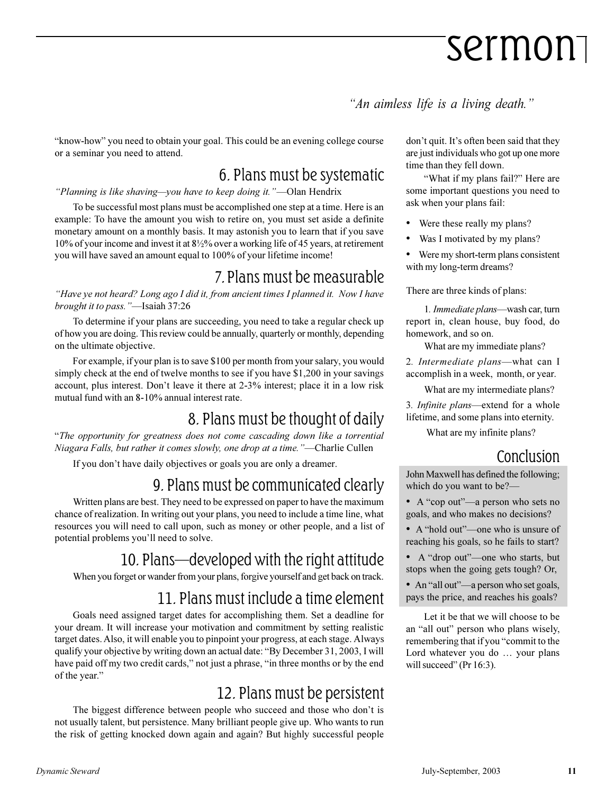"An aimless life is a living death."

"know-how" you need to obtain your goal. This could be an evening college course or a seminar you need to attend.

### 6. Plans must be systematic

"Planning is like shaving—you have to keep doing it."—Olan Hendrix

To be successful most plans must be accomplished one step at a time. Here is an example: To have the amount you wish to retire on, you must set aside a definite monetary amount on a monthly basis. It may astonish you to learn that if you save 10% of your income and invest it at 8½% over a working life of 45 years, at retirement you will have saved an amount equal to 100% of your lifetime income!

### 7. Plans must be measurable

*Have ye not heard? Long ago I did it, from ancient times I planned it. Now I have brought it to pass.*"—Isaiah 37:26

To determine if your plans are succeeding, you need to take a regular check up of how you are doing. This review could be annually, quarterly or monthly, depending on the ultimate objective.

For example, if your plan is to save \$100 per month from your salary, you would simply check at the end of twelve months to see if you have \$1,200 in your savings account, plus interest. Don't leave it there at 2-3% interest; place it in a low risk mutual fund with an 8-10% annual interest rate.

### 8. Plans must be thought of daily

*The opportunity for greatness does not come cascading down like a torrential Niagara Falls, but rather it comes slowly, one drop at a time.* "---Charlie Cullen

If you don't have daily objectives or goals you are only a dreamer.

### 9. Plans must be communicated clearly

Written plans are best. They need to be expressed on paper to have the maximum chance of realization. In writing out your plans, you need to include a time line, what resources you will need to call upon, such as money or other people, and a list of potential problems you'll need to solve.

### 10. Plans-developed with the right attitude

When you forget or wander from your plans, forgive yourself and get back on track.

### 11. Plans must include a time element

Goals need assigned target dates for accomplishing them. Set a deadline for your dream. It will increase your motivation and commitment by setting realistic target dates. Also, it will enable you to pinpoint your progress, at each stage. Always qualify your objective by writing down an actual date: "By December 31, 2003, I will have paid off my two credit cards," not just a phrase, "in three months or by the end of the year.

### 12. Plans must be persistent

The biggest difference between people who succeed and those who don't is not usually talent, but persistence. Many brilliant people give up. Who wants to run the risk of getting knocked down again and again? But highly successful people don't quit. It's often been said that they are just individuals who got up one more time than they fell down.

"What if my plans fail?" Here are some important questions you need to ask when your plans fail:

- Were these really my plans?
- Was I motivated by my plans?

 Were my short-term plans consistent with my long-term dreams?

There are three kinds of plans:

1. Immediate plans—wash car, turn report in, clean house, buy food, do homework, and so on.

What are my immediate plans?

2. Intermediate plans—what can I accomplish in a week, month, or year.

What are my intermediate plans?

3. *Infinite plans*—extend for a whole lifetime, and some plans into eternity.

What are my infinite plans?

### Conclusion

John Maxwell has defined the following; which do you want to be?

- $\bullet$  A "cop out"—a person who sets no goals, and who makes no decisions?
- A "hold out"—one who is unsure of reaching his goals, so he fails to start?
- A "drop out"-one who starts, but stops when the going gets tough? Or,
- An "all out"—a person who set goals, pays the price, and reaches his goals?

Let it be that we will choose to be an "all out" person who plans wisely, remembering that if you "commit to the Lord whatever you do ... your plans will succeed" ( $Pr 16:3$ ).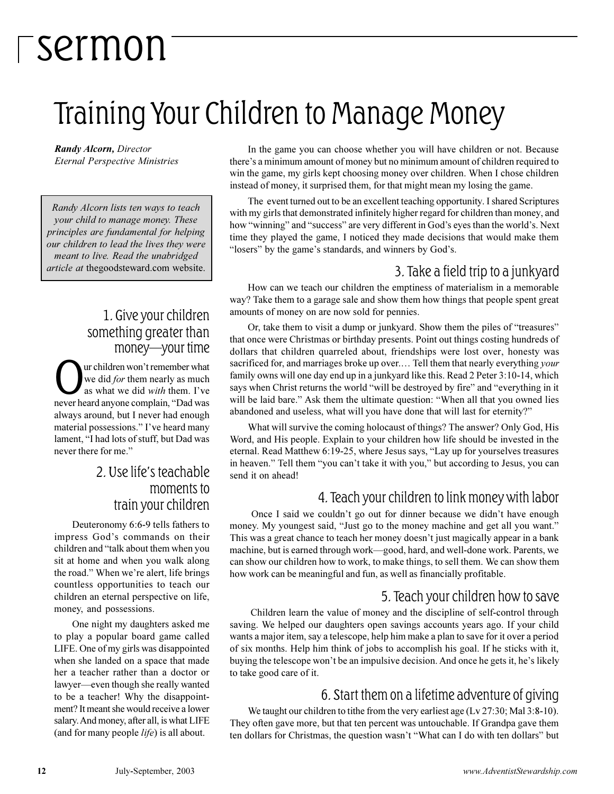## Training Your Children to Manage Money

*Randy Alcorn, Director Eternal Perspective Ministries*

*Randy Alcorn lists ten ways to teach your child to manage money. These principles are fundamental for helping our children to lead the lives they were meant to live. Read the unabridged article at* thegoodsteward.com website.

### 1. Give your children something greater than money-your time

**O**ur children won't remember what<br>we did *for* them nearly as much<br>as what we did *with* them. I've<br>never heard anyone complain, "Dad was ur children won't remember what we did *for* them nearly as much as what we did *with* them. Ive always around, but I never had enough material possessions." I've heard many lament, "I had lots of stuff, but Dad was never there for me."

### 2. Use life's teachable moments to train your children

Deuteronomy 6:6-9 tells fathers to impress God's commands on their children and "talk about them when you sit at home and when you walk along the road." When we're alert, life brings countless opportunities to teach our children an eternal perspective on life, money, and possessions.

One night my daughters asked me to play a popular board game called LIFE. One of my girls was disappointed when she landed on a space that made her a teacher rather than a doctor or lawyer—even though she really wanted to be a teacher! Why the disappointment? It meant she would receive a lower salary. And money, after all, is what LIFE (and for many people *life*) is all about.

In the game you can choose whether you will have children or not. Because there's a minimum amount of money but no minimum amount of children required to win the game, my girls kept choosing money over children. When I chose children instead of money, it surprised them, for that might mean my losing the game.

The event turned out to be an excellent teaching opportunity. I shared Scriptures with my girls that demonstrated infinitely higher regard for children than money, and how "winning" and "success" are very different in God's eyes than the world's. Next time they played the game, I noticed they made decisions that would make them "losers" by the game's standards, and winners by God's.

### 3. Take a field trip to a junkyard

How can we teach our children the emptiness of materialism in a memorable way? Take them to a garage sale and show them how things that people spent great amounts of money on are now sold for pennies.

Or, take them to visit a dump or junkyard. Show them the piles of "treasures" that once were Christmas or birthday presents. Point out things costing hundreds of dollars that children quarreled about, friendships were lost over, honesty was sacrificed for, and marriages broke up over.... Tell them that nearly everything *your* family owns will one day end up in a junkyard like this. Read 2 Peter 3:10-14, which says when Christ returns the world "will be destroyed by fire" and "everything in it will be laid bare." Ask them the ultimate question: "When all that you owned lies abandoned and useless, what will you have done that will last for eternity?

What will survive the coming holocaust of things? The answer? Only God, His Word, and His people. Explain to your children how life should be invested in the eternal. Read Matthew 6:19-25, where Jesus says, "Lay up for yourselves treasures in heaven." Tell them "you can't take it with you," but according to Jesus, you can send it on ahead!

### 4. Teach your children to link money with labor

Once I said we couldn't go out for dinner because we didn't have enough money. My youngest said, "Just go to the money machine and get all you want." This was a great chance to teach her money doesn't just magically appear in a bank machine, but is earned through work—good, hard, and well-done work. Parents, we can show our children how to work, to make things, to sell them. We can show them how work can be meaningful and fun, as well as financially profitable.

### 5. Teach your children how to save

Children learn the value of money and the discipline of self-control through saving. We helped our daughters open savings accounts years ago. If your child wants a major item, say a telescope, help him make a plan to save for it over a period of six months. Help him think of jobs to accomplish his goal. If he sticks with it, buying the telescope won't be an impulsive decision. And once he gets it, he's likely to take good care of it.

### 6. Start them on a lifetime adventure of giving

We taught our children to tithe from the very earliest age (Lv 27:30; Mal 3:8-10). They often gave more, but that ten percent was untouchable. If Grandpa gave them ten dollars for Christmas, the question wasn't "What can I do with ten dollars" but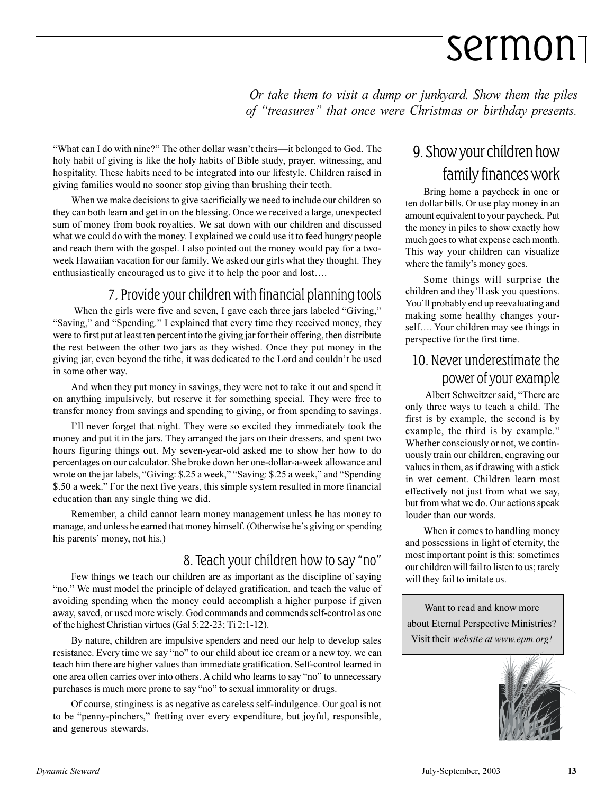*Or take them to visit a dump or junkyard. Show them the piles of "treasures" that once were Christmas or birthday presents.* 

"What can I do with nine?" The other dollar wasn't theirs—it belonged to God. The holy habit of giving is like the holy habits of Bible study, prayer, witnessing, and hospitality. These habits need to be integrated into our lifestyle. Children raised in giving families would no sooner stop giving than brushing their teeth.

When we make decisions to give sacrificially we need to include our children so they can both learn and get in on the blessing. Once we received a large, unexpected sum of money from book royalties. We sat down with our children and discussed what we could do with the money. I explained we could use it to feed hungry people and reach them with the gospel. I also pointed out the money would pay for a twoweek Hawaiian vacation for our family. We asked our girls what they thought. They enthusiastically encouraged us to give it to help the poor and lost.

### 7. Provide your children with financial planning tools

When the girls were five and seven, I gave each three jars labeled "Giving," "Saving," and "Spending." I explained that every time they received money, they were to first put at least ten percent into the giving jar for their offering, then distribute the rest between the other two jars as they wished. Once they put money in the giving jar, even beyond the tithe, it was dedicated to the Lord and couldn't be used in some other way.

And when they put money in savings, they were not to take it out and spend it on anything impulsively, but reserve it for something special. They were free to transfer money from savings and spending to giving, or from spending to savings.

I'll never forget that night. They were so excited they immediately took the money and put it in the jars. They arranged the jars on their dressers, and spent two hours figuring things out. My seven-year-old asked me to show her how to do percentages on our calculator. She broke down her one-dollar-a-week allowance and wrote on the jar labels, "Giving: \$.25 a week," "Saving: \$.25 a week," and "Spending \$.50 a week." For the next five years, this simple system resulted in more financial education than any single thing we did.

Remember, a child cannot learn money management unless he has money to manage, and unless he earned that money himself. (Otherwise he's giving or spending his parents' money, not his.)

### 8. Teach your children how to say "no"

Few things we teach our children are as important as the discipline of saying "no." We must model the principle of delayed gratification, and teach the value of avoiding spending when the money could accomplish a higher purpose if given away, saved, or used more wisely. God commands and commends self-control as one of the highest Christian virtues (Gal 5:22-23; Ti 2:1-12).

By nature, children are impulsive spenders and need our help to develop sales resistance. Every time we say "no" to our child about ice cream or a new toy, we can teach him there are higher values than immediate gratification. Self-control learned in one area often carries over into others. A child who learns to say "no" to unnecessary purchases is much more prone to say "no" to sexual immorality or drugs.

Of course, stinginess is as negative as careless self-indulgence. Our goal is not to be "penny-pinchers," fretting over every expenditure, but joyful, responsible, and generous stewards.

### 9. Show your children how family finances work

Bring home a paycheck in one or ten dollar bills. Or use play money in an amount equivalent to your paycheck. Put the money in piles to show exactly how much goes to what expense each month. This way your children can visualize where the family's money goes.

Some things will surprise the children and they'll ask you questions. You'll probably end up reevaluating and making some healthy changes yourself.... Your children may see things in perspective for the first time.

### 10. Never underestimate the power of your example

Albert Schweitzer said, "There are only three ways to teach a child. The first is by example, the second is by example, the third is by example." Whether consciously or not, we continuously train our children, engraving our values in them, as if drawing with a stick in wet cement. Children learn most effectively not just from what we say, but from what we do. Our actions speak louder than our words.

When it comes to handling money and possessions in light of eternity, the most important point is this: sometimes our children will fail to listen to us; rarely will they fail to imitate us.

Want to read and know more about Eternal Perspective Ministries? Visit their *website at www.epm.org!*

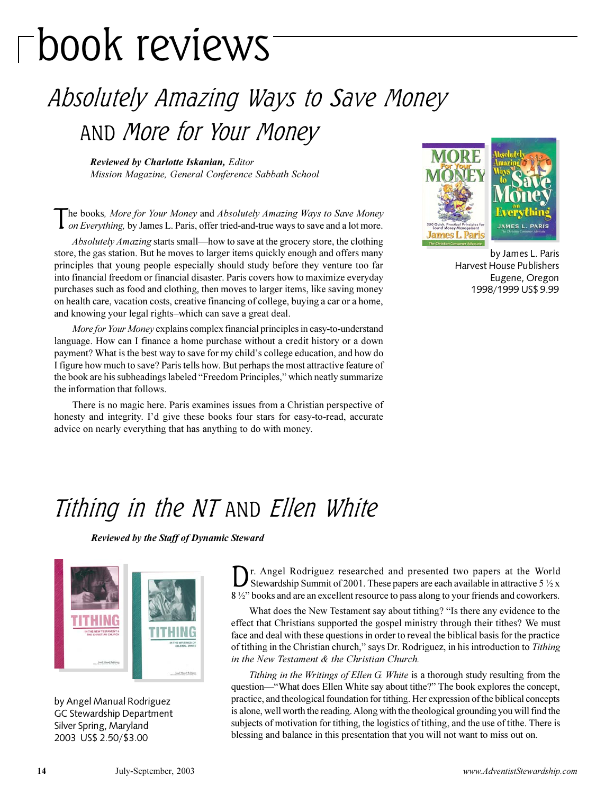# book reviews

### Absolutely Amazing Ways to Save Money AND More for Your Money

*Reviewed by Charlotte Iskanian, Editor Mission Magazine, General Conference Sabbath School*

The books, *More for Your Money* and *Absolutely Amazing Ways to Save Money on Everything, by James L. Paris, offer tried-and-true ways to save and a lot more.* he books*, More for Your Money* and *Absolutely Amazing Ways to Save Money*

*Absolutely Amazing* starts small—how to save at the grocery store, the clothing store, the gas station. But he moves to larger items quickly enough and offers many principles that young people especially should study before they venture too far into financial freedom or financial disaster. Paris covers how to maximize everyday purchases such as food and clothing, then moves to larger items, like saving money on health care, vacation costs, creative financing of college, buying a car or a home, and knowing your legal rights-which can save a great deal.

*More for Your Money* explains complex financial principles in easy-to-understand language. How can I finance a home purchase without a credit history or a down payment? What is the best way to save for my child's college education, and how do I figure how much to save? Paris tells how. But perhaps the most attractive feature of the book are his subheadings labeled "Freedom Principles," which neatly summarize the information that follows.

There is no magic here. Paris examines issues from a Christian perspective of honesty and integrity. I'd give these books four stars for easy-to-read, accurate advice on nearly everything that has anything to do with money.



by James L. Paris Harvest House Publishers Eugene, Oregon 1998/1999 US\$ 9.99

### Tithing in the NT AND Ellen White

*Reviewed by the Staff of Dynamic Steward*



by Angel Manual Rodriguez GC Stewardship Department Silver Spring, Maryland 2003 US\$ 2.50/\$3.00

D r. Angel Rodriguez researched and presented two papers at the World Stewardship Summit of 2001. These papers are each available in attractive  $5\frac{1}{2}x$ 8 1/2" books and are an excellent resource to pass along to your friends and coworkers.

What does the New Testament say about tithing? "Is there any evidence to the effect that Christians supported the gospel ministry through their tithes? We must face and deal with these questions in order to reveal the biblical basis for the practice of tithing in the Christian church," says Dr. Rodriguez, in his introduction to *Tithing in the New Testament & the Christian Church.*

*Tithing in the Writings of Ellen G. White* is a thorough study resulting from the question—"What does Ellen White say about tithe?" The book explores the concept, practice, and theological foundation for tithing. Her expression of the biblical concepts is alone, well worth the reading. Along with the theological grounding you will find the subjects of motivation for tithing, the logistics of tithing, and the use of tithe. There is blessing and balance in this presentation that you will not want to miss out on.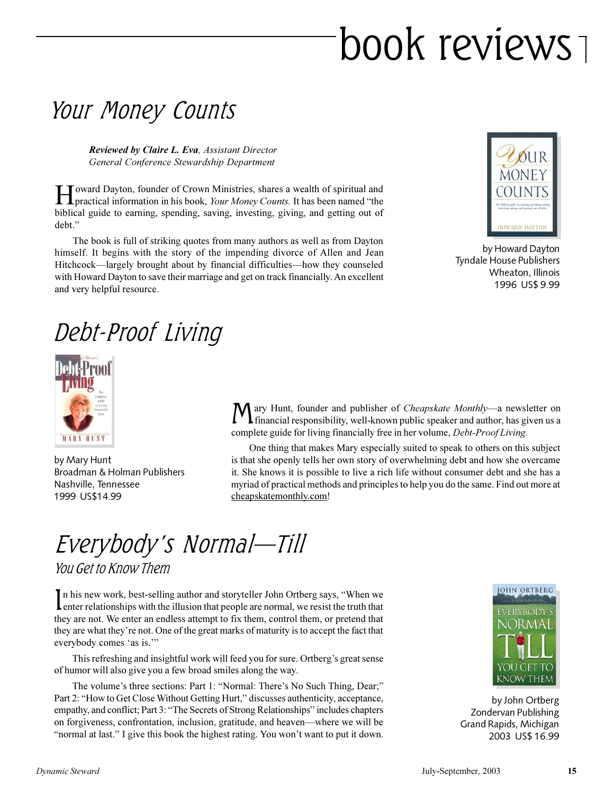# book reviews

### Your Money Counts

*Reviewed by Claire L. Eva, Assistant Director General Conference Stewardship Department*

Howard Dayton, founder of Crown Ministries, shares a wealth of spiritual and practical information in his book, *Your Money Counts*. It has been named "the Toward Dayton, founder of Crown Ministries, shares a wealth of spiritual and biblical guide to earning, spending, saving, investing, giving, and getting out of debt.

The book is full of striking quotes from many authors as well as from Dayton himself. It begins with the story of the impending divorce of Allen and Jean Hitchcock—largely brought about by financial difficulties—how they counseled with Howard Dayton to save their marriage and get on track financially. An excellent and very helpful resource.



by Howard Dayton Tyndale House Publishers Wheaton, Illinois 1996 US\$ 9.99

### Debt-Proof Living



by Mary Hunt Broadman & Holman Publishers Nashville, Tennessee 1999 US\$14.99

Mary Hunt, founder and publisher of *Cheapskate Monthly*—a newsletter on financial responsibility, well-known public speaker and author, has given us a ary Hunt, founder and publisher of *Cheapskate Monthly*—a newsletter on complete guide for living financially free in her volume, *Debt-Proof Living.*

One thing that makes Mary especially suited to speak to others on this subject is that she openly tells her own story of overwhelming debt and how she overcame it. She knows it is possible to live a rich life without consumer debt and she has a myriad of practical methods and principles to help you do the same. Find out more at cheapskatemonthly.com!

### Everybody's Normal—Till You Get to Know Them

In his new work, best-selling author and storyteller John Ortberg says, "When we enter relationships with the illusion that people are normal, we resist the truth that In his new work, best-selling author and storyteller John Ortberg says, "When we they are not. We enter an endless attempt to fix them, control them, or pretend that they are what they're not. One of the great marks of maturity is to accept the fact that everybody comes 'as is."

This refreshing and insightful work will feed you for sure. Ortberg's great sense of humor will also give you a few broad smiles along the way.

The volume's three sections: Part 1: "Normal: There's No Such Thing, Dear;" Part 2: "How to Get Close Without Getting Hurt," discusses authenticity, acceptance, empathy, and conflict; Part 3: "The Secrets of Strong Relationships" includes chapters on forgiveness, confrontation, inclusion, gratitude, and heaven—where we will be "normal at last." I give this book the highest rating. You won't want to put it down.



by John Ortberg Zondervan Publishing Grand Rapids, Michigan 2003 US\$ 16.99